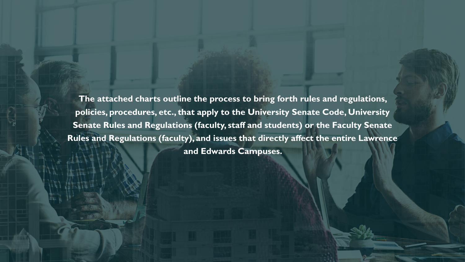**The attached charts outline the process to bring forth rules and regulations, policies, procedures, etc., that apply to the University Senate Code, University Senate Rules and Regulations (faculty, staff and students) or the Faculty Senate Rules and Regulations (faculty), and issues that directly affect the entire Lawrence and Edwards Campuses.**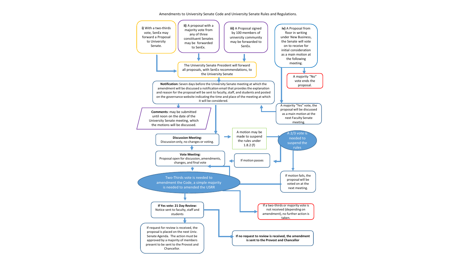Amendments to University Senate Code and University Senate Rules and Regulations.